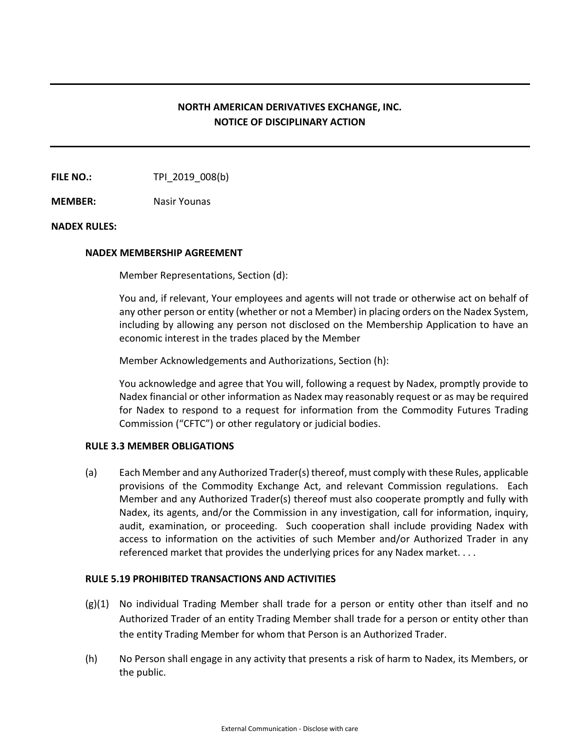# **NORTH AMERICAN DERIVATIVES EXCHANGE, INC. NOTICE OF DISCIPLINARY ACTION**

**FILE NO.:** TPI 2019 008(b)

**MEMBER:** Nasir Younas

# **NADEX RULES:**

# **NADEX MEMBERSHIP AGREEMENT**

Member Representations, Section (d):

You and, if relevant, Your employees and agents will not trade or otherwise act on behalf of any other person or entity (whether or not a Member) in placing orders on the Nadex System, including by allowing any person not disclosed on the Membership Application to have an economic interest in the trades placed by the Member

Member Acknowledgements and Authorizations, Section (h):

You acknowledge and agree that You will, following a request by Nadex, promptly provide to Nadex financial or other information as Nadex may reasonably request or as may be required for Nadex to respond to a request for information from the Commodity Futures Trading Commission ("CFTC") or other regulatory or judicial bodies.

### **RULE 3.3 MEMBER OBLIGATIONS**

(a) Each Member and any Authorized Trader(s) thereof, must comply with these Rules, applicable provisions of the Commodity Exchange Act, and relevant Commission regulations. Each Member and any Authorized Trader(s) thereof must also cooperate promptly and fully with Nadex, its agents, and/or the Commission in any investigation, call for information, inquiry, audit, examination, or proceeding. Such cooperation shall include providing Nadex with access to information on the activities of such Member and/or Authorized Trader in any referenced market that provides the underlying prices for any Nadex market. . . .

### **RULE 5.19 PROHIBITED TRANSACTIONS AND ACTIVITIES**

- (g)(1) No individual Trading Member shall trade for a person or entity other than itself and no Authorized Trader of an entity Trading Member shall trade for a person or entity other than the entity Trading Member for whom that Person is an Authorized Trader.
- (h) No Person shall engage in any activity that presents a risk of harm to Nadex, its Members, or the public.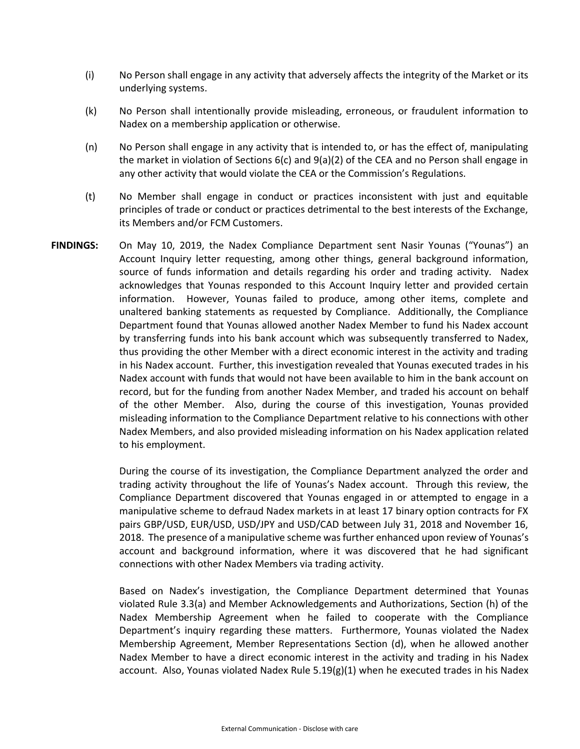- (i) No Person shall engage in any activity that adversely affects the integrity of the Market or its underlying systems.
- (k) No Person shall intentionally provide misleading, erroneous, or fraudulent information to Nadex on a membership application or otherwise.
- (n) No Person shall engage in any activity that is intended to, or has the effect of, manipulating the market in violation of Sections  $6(c)$  and  $9(a)(2)$  of the CEA and no Person shall engage in any other activity that would violate the CEA or the Commission's Regulations.
- (t) No Member shall engage in conduct or practices inconsistent with just and equitable principles of trade or conduct or practices detrimental to the best interests of the Exchange, its Members and/or FCM Customers.
- **FINDINGS:** On May 10, 2019, the Nadex Compliance Department sent Nasir Younas ("Younas") an Account Inquiry letter requesting, among other things, general background information, source of funds information and details regarding his order and trading activity. Nadex acknowledges that Younas responded to this Account Inquiry letter and provided certain information. However, Younas failed to produce, among other items, complete and unaltered banking statements as requested by Compliance. Additionally, the Compliance Department found that Younas allowed another Nadex Member to fund his Nadex account by transferring funds into his bank account which was subsequently transferred to Nadex, thus providing the other Member with a direct economic interest in the activity and trading in his Nadex account. Further, this investigation revealed that Younas executed trades in his Nadex account with funds that would not have been available to him in the bank account on record, but for the funding from another Nadex Member, and traded his account on behalf of the other Member. Also, during the course of this investigation, Younas provided misleading information to the Compliance Department relative to his connections with other Nadex Members, and also provided misleading information on his Nadex application related to his employment.

During the course of its investigation, the Compliance Department analyzed the order and trading activity throughout the life of Younas's Nadex account. Through this review, the Compliance Department discovered that Younas engaged in or attempted to engage in a manipulative scheme to defraud Nadex markets in at least 17 binary option contracts for FX pairs GBP/USD, EUR/USD, USD/JPY and USD/CAD between July 31, 2018 and November 16, 2018. The presence of a manipulative scheme was further enhanced upon review of Younas's account and background information, where it was discovered that he had significant connections with other Nadex Members via trading activity.

Based on Nadex's investigation, the Compliance Department determined that Younas violated Rule 3.3(a) and Member Acknowledgements and Authorizations, Section (h) of the Nadex Membership Agreement when he failed to cooperate with the Compliance Department's inquiry regarding these matters. Furthermore, Younas violated the Nadex Membership Agreement, Member Representations Section (d), when he allowed another Nadex Member to have a direct economic interest in the activity and trading in his Nadex account. Also, Younas violated Nadex Rule  $5.19(g)(1)$  when he executed trades in his Nadex